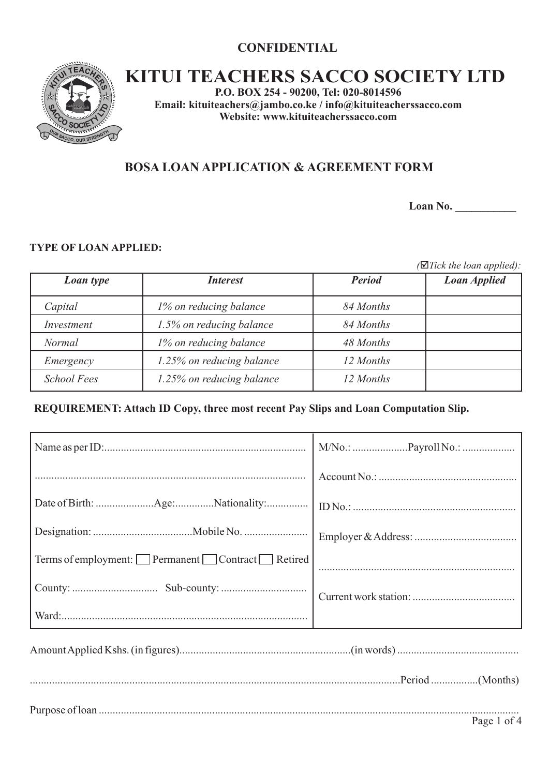# **CONFIDENTIAL**



# **KITUI TEACHERS SACCO SOCIETY LTD**

**P.O. BOX 254 - 90200, Tel: 020-8014596 Email: kituiteachers@jambo.co.ke / info@kituiteacherssacco.com Website: www.kituiteacherssacco.com**

# **BOSA LOAN APPLICATION & AGREEMENT FORM**

**Loan No. \_\_\_\_\_\_\_\_\_\_\_**

#### **TYPE OF LOAN APPLIED:**

*(*þ*Tick the loan applied):*

| Loan type          | <b>Interest</b>           | <b>Period</b> | <b>Loan Applied</b> |
|--------------------|---------------------------|---------------|---------------------|
| Capital            | 1% on reducing balance    | 84 Months     |                     |
| Investment         | 1.5% on reducing balance  | 84 Months     |                     |
| <b>Normal</b>      | 1% on reducing balance    | 48 Months     |                     |
| Emergency          | 1.25% on reducing balance | 12 Months     |                     |
| <b>School Fees</b> | 1.25% on reducing balance | 12 Months     |                     |

#### **REQUIREMENT: Attach ID Copy, three most recent Pay Slips and Loan Computation Slip.**

| Terms of employment: Permanent Contract Retired |  |
|-------------------------------------------------|--|
|                                                 |  |
|                                                 |  |
|                                                 |  |
|                                                 |  |

Purpose of loan ........................................................................................................................................................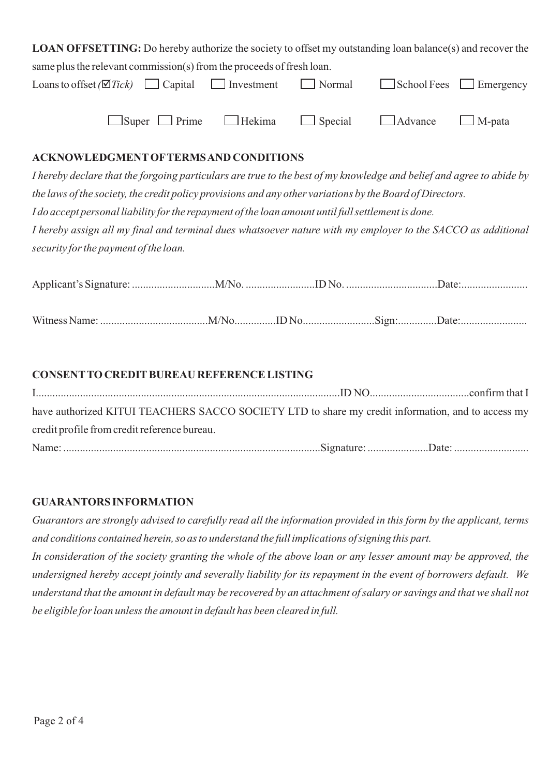| <b>LOAN OFFSETTING:</b> Do hereby authorize the society to offset my outstanding loan balance(s) and recover the                    |                                           |  |  |  |  |
|-------------------------------------------------------------------------------------------------------------------------------------|-------------------------------------------|--|--|--|--|
| same plus the relevant commission(s) from the proceeds of fresh loan.                                                               |                                           |  |  |  |  |
| Loans to offset ( $\overline{\mathcal{Q}}$ Tick) $\Box$ Capital $\Box$ Investment $\Box$ Normal $\Box$ School Fees $\Box$ Emergency |                                           |  |  |  |  |
|                                                                                                                                     | Super Prime Hekima Special Advance M-pata |  |  |  |  |

#### **ACKNOWLEDGMENTOFTERMS AND CONDITIONS**

*I hereby declare that the forgoing particulars are true to the best of my knowledge and belief and agree to abide by the laws of the society, the credit policy provisions and any other variations by the Board of Directors. I do accept personal liability for the repayment of the loan amount until full settlement is done. I hereby assign all my final and terminal dues whatsoever nature with my employer to the SACCO as additional security for the payment of the loan.*

#### **CONSENTTO CREDITBUREAU REFERENCE LISTING**

| have authorized KITUI TEACHERS SACCO SOCIETY LTD to share my credit information, and to access my |  |
|---------------------------------------------------------------------------------------------------|--|
| credit profile from credit reference bureau.                                                      |  |
|                                                                                                   |  |

### **GUARANTORS INFORMATION**

*Guarantors are strongly advised to carefully read all the information provided in this form by the applicant, terms and conditions contained herein, so as to understand the full implications of signing this part. In consideration of the society granting the whole of the above loan or any lesser amount may be approved, the undersigned hereby accept jointly and severally liability for its repayment in the event of borrowers default. We* 

*understand that the amount in default may be recovered by an attachment of salary or savings and that we shall not be eligible for loan unless the amount in default has been cleared in full.*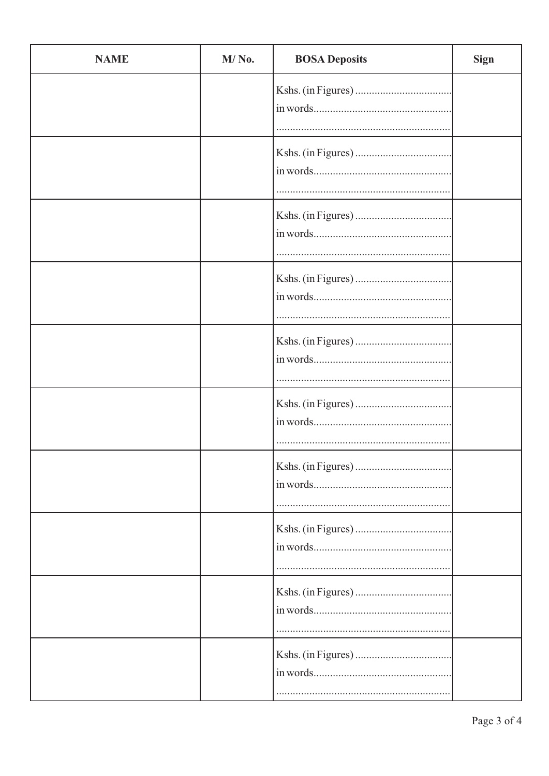| <b>NAME</b> | M/No. | <b>BOSA Deposits</b> | <b>Sign</b> |
|-------------|-------|----------------------|-------------|
|             |       |                      |             |
|             |       |                      |             |
|             |       |                      |             |
|             |       |                      |             |
|             |       |                      |             |
|             |       |                      |             |
|             |       |                      |             |
|             |       |                      |             |
|             |       |                      |             |
|             |       |                      |             |